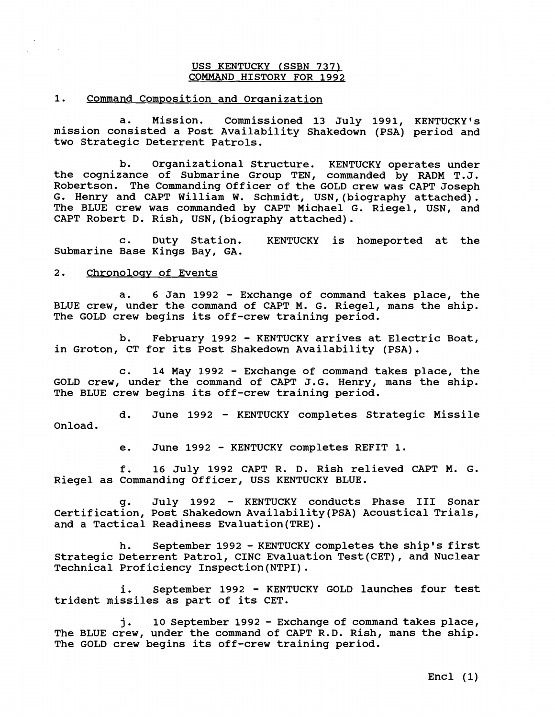## USS KENTUCKY (SSBN **737)**  COMMAND HISTORY FOR **1992**

1. Command Composition and Organization

a. Mission. Commissioned **13** July **1991,** KENTUCKY'S mission consisted a Post Availability Shakedown (PSA) period and two Strategic Deterrent Patrols.

b. Organizational Structure. KENTUCKY operates under the cognizance of Submarine Group TEN, commanded by RADM T.J. Robertson. The Commanding Officer of the GOLD crew was CAPT Joseph G. Henry and CAPT William W. Schmidt, USN, (biography attached). The BLUE crew was commanded by CAPT Michael G. Riegel, USN, and CAPT Robert D. Rish, USN,(biography attached).

c. Duty Station. KENTUCKY is homeported at the Submarine Base Kings Bay, GA.

## 2. Chronology of Events

a. 6 Jan 1992 - Exchange of command takes place, the BLUE crew, under the command of CAPT M. G. Riegel, mans the ship. The GOLD crew begins its off-crew training period.

b. February **1992** - KENTUCKY arrives at Electric Boat, in Groton, CT for its Post Shakedown Availability (PSA).

c. 14 May **1992** - Exchange of command takes place, the GOLD crew, under the command of CAPT J. G. Henry, mans the ship. The BLUE crew begins its off-crew training period.

d. June 1992 - KENTUCKY completes Strategic Missile Onload.

e. June **1992** - KENTUCKY completes REFIT **1.** 

f. **16** July **1992** CAPT R. D. Rish relieved CAPT M. G. Riegel as Commanding Officer, USS KENTUCKY BLUE.

g. July **1992** - KENTUCKY conducts Phase I11 Sonar Certification, Post Shakedown Availability (PSA) Acoustical Trials, and a Tactical Readiness Evaluation(TRE).

h. September **1992** - KENTUCKY completes the ship's first Strategic Deterrent Patrol, CINC Evaluation Test (CET) , and Nuclear Technical Proficiency Inspection(NTP1).

i. September **1992** - KENTUCKY GOLD launches four test trident missiles as part of its CET.

**<sup>j</sup>**. **10** September **1992** - Exchange of command takes place, The BLUE crew, under the command of CAPT R.D. Rish, mans the ship. The GOLD crew begins its off-crew training period.